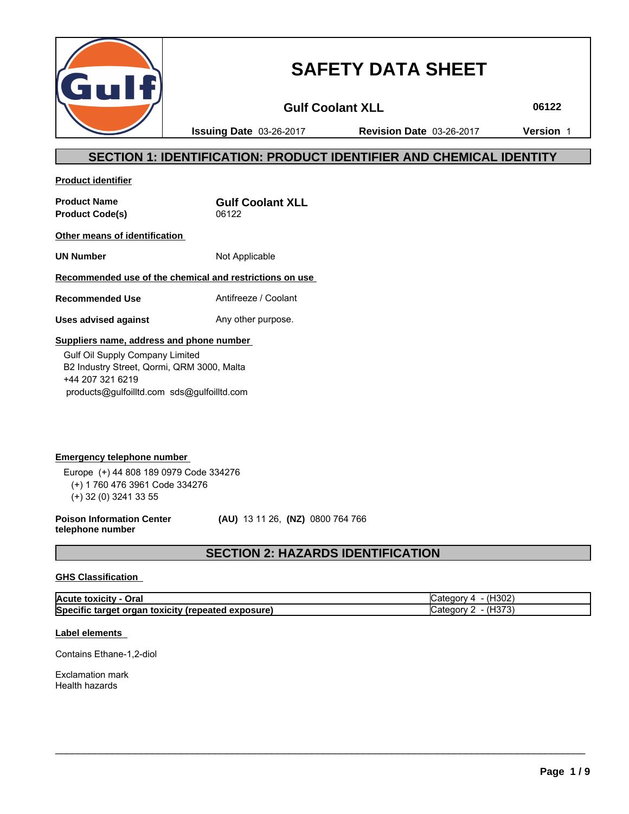

# **SAFETY DATA SHEET**

Gulf Coolant XLL **06122** 

**Issuing Date** 03-26-2017 **Revision Date** 03-26-2017 **Version** 1

# **SECTION 1: IDENTIFICATION: PRODUCT IDENTIFIER AND CHEMICAL IDENTITY**

**Product identifier**

Product Code(s) 06122

**Product Name <b>Gulf Coolant XLL** 

**Other means of identification** 

**UN Number** Not Applicable

### **Recommended use of the chemical and restrictions on use**

**Recommended Use** Antifreeze / Coolant

**Uses advised against** Any other purpose.

### **Suppliers name, address and phone number**

 Gulf Oil Supply Company Limited B2 Industry Street, Qormi, QRM 3000, Malta +44 207 321 6219 products@gulfoilltd.com sds@gulfoilltd.com

**Emergency telephone number**  Europe (+) 44 808 189 0979 Code 334276 (+) 1 760 476 3961 Code 334276 (+) 32 (0) 3241 33 55

**Poison Information Center telephone number**

 **(AU)** 13 11 26, **(NZ)** 0800 764 766

# **SECTION 2: HAZARDS IDENTIFICATION**

### **GHS Classification**

| Acute<br>Oral<br>. τοχίςιτ∨                                       | 1.0001<br>7H3U∠.<br><br><br>.1011                       |
|-------------------------------------------------------------------|---------------------------------------------------------|
| Specific<br>'exposure)<br>oxicity (repeated e.<br>target<br>organ | 1072<br>- -<br>. 10 I V<br>. .<br>$\cdots$<br>ю.<br>. ب |

 $\_$  ,  $\_$  ,  $\_$  ,  $\_$  ,  $\_$  ,  $\_$  ,  $\_$  ,  $\_$  ,  $\_$  ,  $\_$  ,  $\_$  ,  $\_$  ,  $\_$  ,  $\_$  ,  $\_$  ,  $\_$  ,  $\_$  ,  $\_$  ,  $\_$  ,  $\_$  ,  $\_$  ,  $\_$  ,  $\_$  ,  $\_$  ,  $\_$  ,  $\_$  ,  $\_$  ,  $\_$  ,  $\_$  ,  $\_$  ,  $\_$  ,  $\_$  ,  $\_$  ,  $\_$  ,  $\_$  ,  $\_$  ,  $\_$  ,

### **Label elements**

Contains Ethane-1,2-diol

Exclamation mark Health hazards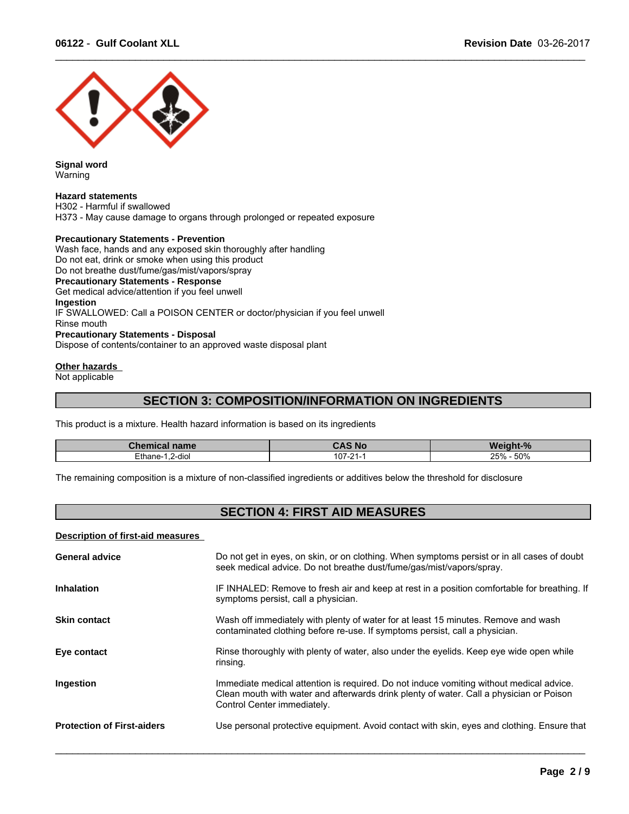

**Signal word** Warning

#### **Hazard statements**

H302 - Harmful if swallowed H373 - May cause damage to organs through prolonged or repeated exposure

### **Precautionary Statements - Prevention**

Wash face, hands and any exposed skin thoroughly after handling Do not eat, drink or smoke when using this product Do not breathe dust/fume/gas/mist/vapors/spray **Precautionary Statements - Response** Get medical advice/attention if you feel unwell **Ingestion** IF SWALLOWED: Call a POISON CENTER or doctor/physician if you feel unwell Rinse mouth **Precautionary Statements - Disposal** Dispose of contents/container to an approved waste disposal plant

### **Other hazards**

Not applicable

### **SECTION 3: COMPOSITION/INFORMATION ON INGREDIENTS**

 $\_$  ,  $\_$  ,  $\_$  ,  $\_$  ,  $\_$  ,  $\_$  ,  $\_$  ,  $\_$  ,  $\_$  ,  $\_$  ,  $\_$  ,  $\_$  ,  $\_$  ,  $\_$  ,  $\_$  ,  $\_$  ,  $\_$  ,  $\_$  ,  $\_$  ,  $\_$  ,  $\_$  ,  $\_$  ,  $\_$  ,  $\_$  ,  $\_$  ,  $\_$  ,  $\_$  ,  $\_$  ,  $\_$  ,  $\_$  ,  $\_$  ,  $\_$  ,  $\_$  ,  $\_$  ,  $\_$  ,  $\_$  ,  $\_$  ,

This product is a mixture. Health hazard information is based on its ingredients

| Chemical name                                 | <b>CAS No</b> | <b>Weight-</b><br>. n/ |
|-----------------------------------------------|---------------|------------------------|
| Ethane-<br>2-diol<br>$\overline{\phantom{a}}$ | $107 - 24$    | 50%<br>25%             |

The remaining composition is a mixture of non-classified ingredients or additives below the threshold for disclosure

# **SECTION 4: FIRST AID MEASURES**

#### **Description of first-aid measures**

| <b>General advice</b>             | Do not get in eyes, on skin, or on clothing. When symptoms persist or in all cases of doubt<br>seek medical advice. Do not breathe dust/fume/gas/mist/vapors/spray.                                               |
|-----------------------------------|-------------------------------------------------------------------------------------------------------------------------------------------------------------------------------------------------------------------|
| <b>Inhalation</b>                 | IF INHALED: Remove to fresh air and keep at rest in a position comfortable for breathing. If<br>symptoms persist, call a physician.                                                                               |
| <b>Skin contact</b>               | Wash off immediately with plenty of water for at least 15 minutes. Remove and wash<br>contaminated clothing before re-use. If symptoms persist, call a physician.                                                 |
| Eye contact                       | Rinse thoroughly with plenty of water, also under the eyelids. Keep eye wide open while<br>rinsing.                                                                                                               |
| Ingestion                         | Immediate medical attention is required. Do not induce vomiting without medical advice.<br>Clean mouth with water and afterwards drink plenty of water. Call a physician or Poison<br>Control Center immediately. |
| <b>Protection of First-aiders</b> | Use personal protective equipment. Avoid contact with skin, eyes and clothing. Ensure that                                                                                                                        |
|                                   |                                                                                                                                                                                                                   |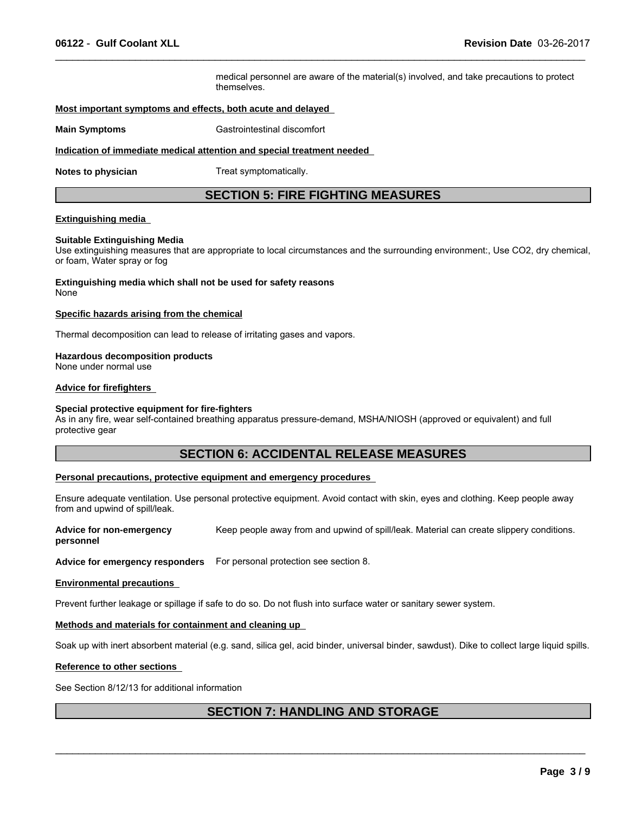medical personnel are aware of the material(s) involved, and take precautions to protect themselves.

 $\_$  ,  $\_$  ,  $\_$  ,  $\_$  ,  $\_$  ,  $\_$  ,  $\_$  ,  $\_$  ,  $\_$  ,  $\_$  ,  $\_$  ,  $\_$  ,  $\_$  ,  $\_$  ,  $\_$  ,  $\_$  ,  $\_$  ,  $\_$  ,  $\_$  ,  $\_$  ,  $\_$  ,  $\_$  ,  $\_$  ,  $\_$  ,  $\_$  ,  $\_$  ,  $\_$  ,  $\_$  ,  $\_$  ,  $\_$  ,  $\_$  ,  $\_$  ,  $\_$  ,  $\_$  ,  $\_$  ,  $\_$  ,  $\_$  ,

### **Most important symptoms and effects, both acute and delayed**

**Main Symptoms** Gastrointestinal discomfort

### **Indication of immediate medical attention and special treatment needed**

**Notes to physician** Treat symptomatically.

### **SECTION 5: FIRE FIGHTING MEASURES**

### **Extinguishing media**

### **Suitable Extinguishing Media**

Use extinguishing measures that are appropriate to local circumstances and the surrounding environment:, Use CO2, dry chemical, or foam, Water spray or fog

**Extinguishing media which shall not be used for safety reasons** None

#### **Specific hazards arising from the chemical**

Thermal decomposition can lead to release of irritating gases and vapors.

### **Hazardous decomposition products**

None under normal use

### **Advice for firefighters**

#### **Special protective equipment for fire-fighters**

As in any fire, wear self-contained breathing apparatus pressure-demand, MSHA/NIOSH (approved or equivalent) and full protective gear

### **SECTION 6: ACCIDENTAL RELEASE MEASURES**

### **Personal precautions, protective equipment and emergency procedures**

Ensure adequate ventilation. Use personal protective equipment. Avoid contact with skin, eyes and clothing. Keep people away from and upwind of spill/leak.

**Advice for non-emergency personnel** Keep people away from and upwind of spill/leak. Material can create slippery conditions.

**Advice for emergency responders** For personal protection see section 8.

#### **Environmental precautions**

Prevent further leakage or spillage if safe to do so. Do not flush into surface water or sanitary sewer system.

### **Methods and materials for containment and cleaning up**

Soak up with inert absorbent material (e.g. sand, silica gel, acid binder, universal binder, sawdust). Dike to collect large liquid spills.

#### **Reference to other sections**

See Section 8/12/13 for additional information

### **SECTION 7: HANDLING AND STORAGE**

 $\mathcal{L}_\mathcal{L} = \{ \mathcal{L}_\mathcal{L} = \{ \mathcal{L}_\mathcal{L} = \{ \mathcal{L}_\mathcal{L} = \{ \mathcal{L}_\mathcal{L} = \{ \mathcal{L}_\mathcal{L} = \{ \mathcal{L}_\mathcal{L} = \{ \mathcal{L}_\mathcal{L} = \{ \mathcal{L}_\mathcal{L} = \{ \mathcal{L}_\mathcal{L} = \{ \mathcal{L}_\mathcal{L} = \{ \mathcal{L}_\mathcal{L} = \{ \mathcal{L}_\mathcal{L} = \{ \mathcal{L}_\mathcal{L} = \{ \mathcal{L}_\mathcal{$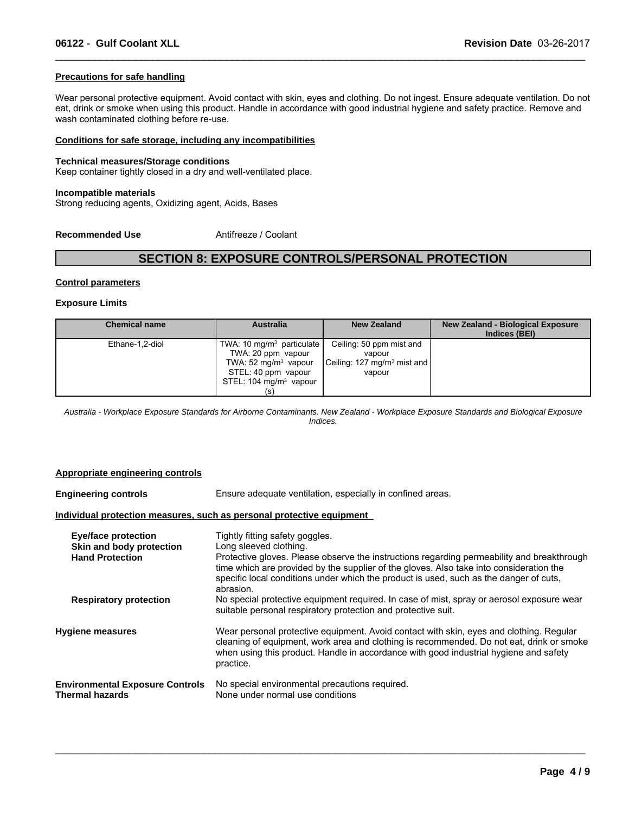### **Precautions for safe handling**

Wear personal protective equipment. Avoid contact with skin, eyes and clothing. Do not ingest. Ensure adequate ventilation. Do not eat, drink or smoke when using this product. Handle in accordance with good industrial hygiene and safety practice. Remove and wash contaminated clothing before re-use.

 $\_$  ,  $\_$  ,  $\_$  ,  $\_$  ,  $\_$  ,  $\_$  ,  $\_$  ,  $\_$  ,  $\_$  ,  $\_$  ,  $\_$  ,  $\_$  ,  $\_$  ,  $\_$  ,  $\_$  ,  $\_$  ,  $\_$  ,  $\_$  ,  $\_$  ,  $\_$  ,  $\_$  ,  $\_$  ,  $\_$  ,  $\_$  ,  $\_$  ,  $\_$  ,  $\_$  ,  $\_$  ,  $\_$  ,  $\_$  ,  $\_$  ,  $\_$  ,  $\_$  ,  $\_$  ,  $\_$  ,  $\_$  ,  $\_$  ,

#### **Conditions for safe storage, including any incompatibilities**

#### **Technical measures/Storage conditions**

Keep container tightly closed in a dry and well-ventilated place.

#### **Incompatible materials**

Strong reducing agents, Oxidizing agent, Acids, Bases

**Recommended Use** Antifreeze / Coolant

### **SECTION 8: EXPOSURE CONTROLS/PERSONAL PROTECTION**

#### **Control parameters**

#### **Exposure Limits**

| <b>Chemical name</b> | <b>Australia</b>                                                                                                                                           | <b>New Zealand</b>                                                                      | <b>New Zealand - Biological Exposure</b><br>Indices (BEI) |
|----------------------|------------------------------------------------------------------------------------------------------------------------------------------------------------|-----------------------------------------------------------------------------------------|-----------------------------------------------------------|
| Ethane-1,2-diol      | TWA: 10 mg/m <sup>3</sup> particulate<br>TWA: 20 ppm vapour<br>TWA: $52 \text{ mg/m}^3$ vapour<br>STEL: 40 ppm vapour<br>STEL: $104 \text{ mg/m}^3$ vapour | Ceiling: 50 ppm mist and<br>vapour<br>Ceiling: 127 mg/m <sup>3</sup> mist and<br>vapour |                                                           |

*Australia - Workplace Exposure Standards for Airborne Contaminants. New Zealand - Workplace Exposure Standards and Biological Exposure Indices.*

#### **Appropriate engineering controls**

**Engineering controls** Ensure adequate ventilation, especially in confined areas. **Individual protection measures, such as personal protective equipment Eye/face protection** Tightly fitting safety goggles. **Skin and body protection** Long sleeved clothing.<br> **Hand Protection** Protective gloves Plea Protective gloves. Please observe the instructions regarding permeability and breakthrough time which are provided by the supplier of the gloves. Also take into consideration the specific local conditions under which the product is used, such as the danger of cuts, abrasion. **Respiratory protection** No special protective equipment required. In case of mist, spray or aerosol exposure wear suitable personal respiratory protection and protective suit. **Hygiene measures** Wear personal protective equipment. Avoid contact with skin, eyes and clothing. Regular cleaning of equipment, work area and clothing is recommended. Do not eat, drink or smoke when using this product. Handle in accordance with good industrial hygiene and safety practice. **Environmental Exposure Controls** No special environmental precautions required.<br>Thermal hazards **None under normal use conditions** None under normal use conditions

 $\_$  ,  $\_$  ,  $\_$  ,  $\_$  ,  $\_$  ,  $\_$  ,  $\_$  ,  $\_$  ,  $\_$  ,  $\_$  ,  $\_$  ,  $\_$  ,  $\_$  ,  $\_$  ,  $\_$  ,  $\_$  ,  $\_$  ,  $\_$  ,  $\_$  ,  $\_$  ,  $\_$  ,  $\_$  ,  $\_$  ,  $\_$  ,  $\_$  ,  $\_$  ,  $\_$  ,  $\_$  ,  $\_$  ,  $\_$  ,  $\_$  ,  $\_$  ,  $\_$  ,  $\_$  ,  $\_$  ,  $\_$  ,  $\_$  ,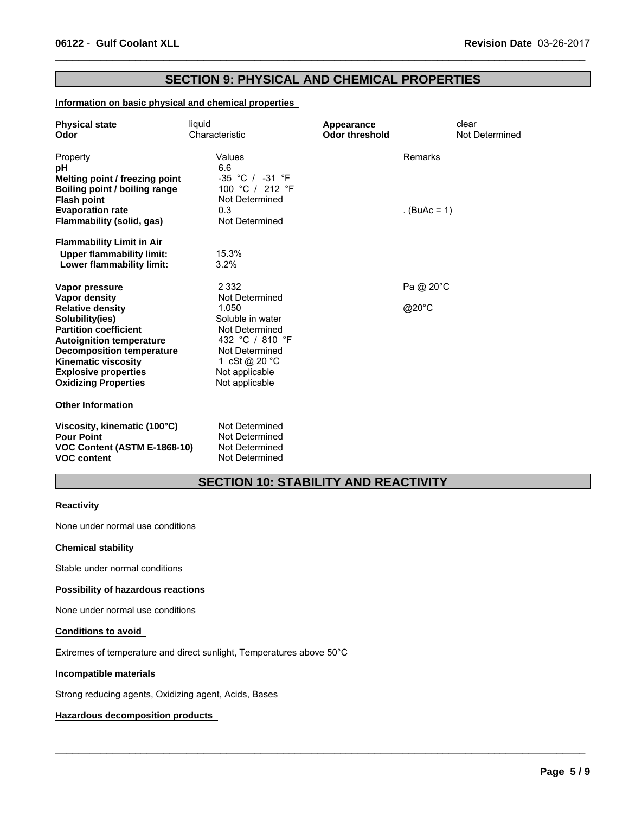### **SECTION 9: PHYSICAL AND CHEMICAL PROPERTIES**

 $\_$  ,  $\_$  ,  $\_$  ,  $\_$  ,  $\_$  ,  $\_$  ,  $\_$  ,  $\_$  ,  $\_$  ,  $\_$  ,  $\_$  ,  $\_$  ,  $\_$  ,  $\_$  ,  $\_$  ,  $\_$  ,  $\_$  ,  $\_$  ,  $\_$  ,  $\_$  ,  $\_$  ,  $\_$  ,  $\_$  ,  $\_$  ,  $\_$  ,  $\_$  ,  $\_$  ,  $\_$  ,  $\_$  ,  $\_$  ,  $\_$  ,  $\_$  ,  $\_$  ,  $\_$  ,  $\_$  ,  $\_$  ,  $\_$  ,

### **Information on basic physical and chemical properties**

| <b>Physical state</b><br>Odor                                                                                                                                                                                                                                         | liquid<br>Characteristic                                                                                                                                | Appearance<br><b>Odor threshold</b> | clear<br>Not Determined |  |
|-----------------------------------------------------------------------------------------------------------------------------------------------------------------------------------------------------------------------------------------------------------------------|---------------------------------------------------------------------------------------------------------------------------------------------------------|-------------------------------------|-------------------------|--|
| Property<br>рH<br>Melting point / freezing point<br>Boiling point / boiling range<br><b>Flash point</b>                                                                                                                                                               | Values<br>6.6<br>-35 °C / -31 °F<br>100 °C / 212 °F<br>Not Determined                                                                                   | Remarks                             |                         |  |
| <b>Evaporation rate</b><br>Flammability (solid, gas)                                                                                                                                                                                                                  | 0.3<br>Not Determined                                                                                                                                   | . $(BuAc = 1)$                      |                         |  |
| <b>Flammability Limit in Air</b><br><b>Upper flammability limit:</b><br>Lower flammability limit:                                                                                                                                                                     | 15.3%<br>3.2%                                                                                                                                           |                                     |                         |  |
| Vapor pressure                                                                                                                                                                                                                                                        | 2 3 3 2                                                                                                                                                 | Pa @ 20°C                           |                         |  |
| <b>Vapor density</b><br><b>Relative density</b><br>Solubility(ies)<br><b>Partition coefficient</b><br><b>Autoignition temperature</b><br><b>Decomposition temperature</b><br><b>Kinematic viscosity</b><br><b>Explosive properties</b><br><b>Oxidizing Properties</b> | Not Determined<br>1.050<br>Soluble in water<br>Not Determined<br>432 °C / 810 °F<br>Not Determined<br>1 cSt @ 20 °C<br>Not applicable<br>Not applicable | @20 $^{\circ}$ C                    |                         |  |
| <b>Other Information</b>                                                                                                                                                                                                                                              |                                                                                                                                                         |                                     |                         |  |
| Viscosity, kinematic (100°C)<br><b>Pour Point</b><br>VOC Content (ASTM E-1868-10)<br><b>VOC content</b>                                                                                                                                                               | Not Determined<br>Not Determined<br>Not Determined<br>Not Determined                                                                                    |                                     |                         |  |

# **SECTION 10: STABILITY AND REACTIVITY**

 $\_$  ,  $\_$  ,  $\_$  ,  $\_$  ,  $\_$  ,  $\_$  ,  $\_$  ,  $\_$  ,  $\_$  ,  $\_$  ,  $\_$  ,  $\_$  ,  $\_$  ,  $\_$  ,  $\_$  ,  $\_$  ,  $\_$  ,  $\_$  ,  $\_$  ,  $\_$  ,  $\_$  ,  $\_$  ,  $\_$  ,  $\_$  ,  $\_$  ,  $\_$  ,  $\_$  ,  $\_$  ,  $\_$  ,  $\_$  ,  $\_$  ,  $\_$  ,  $\_$  ,  $\_$  ,  $\_$  ,  $\_$  ,  $\_$  ,

### **Reactivity**

None under normal use conditions

### **Chemical stability**

Stable under normal conditions

### **Possibility of hazardous reactions**

None under normal use conditions

### **Conditions to avoid**

Extremes of temperature and direct sunlight, Temperatures above 50°C

### **Incompatible materials**

Strong reducing agents, Oxidizing agent, Acids, Bases

### **Hazardous decomposition products**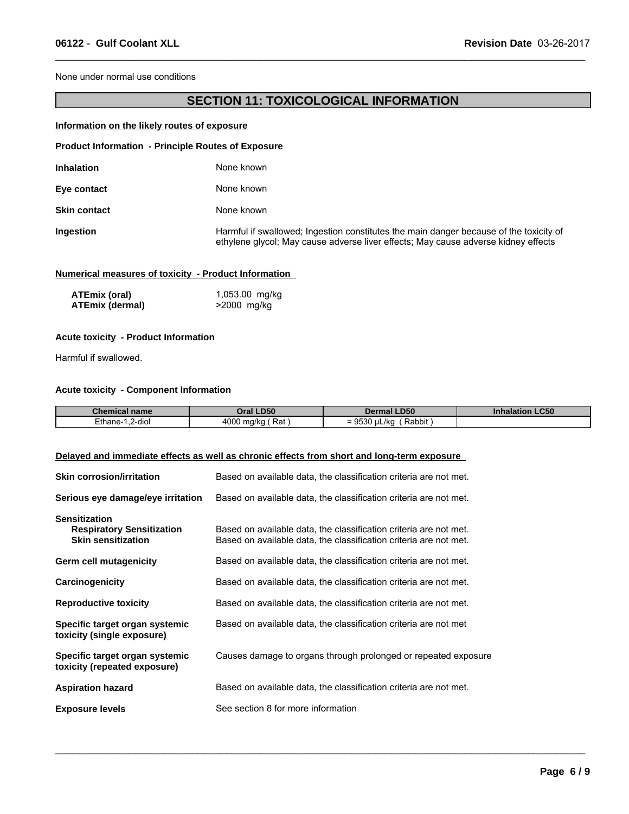None under normal use conditions

# **SECTION 11: TOXICOLOGICAL INFORMATION**

 $\_$  ,  $\_$  ,  $\_$  ,  $\_$  ,  $\_$  ,  $\_$  ,  $\_$  ,  $\_$  ,  $\_$  ,  $\_$  ,  $\_$  ,  $\_$  ,  $\_$  ,  $\_$  ,  $\_$  ,  $\_$  ,  $\_$  ,  $\_$  ,  $\_$  ,  $\_$  ,  $\_$  ,  $\_$  ,  $\_$  ,  $\_$  ,  $\_$  ,  $\_$  ,  $\_$  ,  $\_$  ,  $\_$  ,  $\_$  ,  $\_$  ,  $\_$  ,  $\_$  ,  $\_$  ,  $\_$  ,  $\_$  ,  $\_$  ,

### **Information on the likely routes of exposure**

| <b>Product Information - Principle Routes of Exposure</b> |                                                                                                                                                                              |
|-----------------------------------------------------------|------------------------------------------------------------------------------------------------------------------------------------------------------------------------------|
| <b>Inhalation</b>                                         | None known                                                                                                                                                                   |
| Eye contact                                               | None known                                                                                                                                                                   |
| <b>Skin contact</b>                                       | None known                                                                                                                                                                   |
| Ingestion                                                 | Harmful if swallowed; Ingestion constitutes the main danger because of the toxicity of<br>ethylene glycol; May cause adverse liver effects; May cause adverse kidney effects |

### **Numerical measures of toxicity - Product Information**

| ATEmix (oral)          | 1,053.00 mg/kg |
|------------------------|----------------|
| <b>ATEmix (dermal)</b> | >2000 mg/kg    |

### **Acute toxicity - Product Information**

Harmful if swallowed.

### **Acute toxicity - Component Information**

| <b>Chemical name</b>             | <b>DEO</b>                  | .D50                                                | <b>LC50</b> |
|----------------------------------|-----------------------------|-----------------------------------------------------|-------------|
|                                  | טכּש.                       | Dermal                                              | Inhalation  |
| $\cdots$<br>2-dio<br>∠thane-<br> | 4000<br>Rat<br>ma/ko<br>. . | Rabbit<br>، اا<br>-<br>.<br>'' ⊔L/K⊾<br>$=$<br>ວບບບ |             |

 $\_$  ,  $\_$  ,  $\_$  ,  $\_$  ,  $\_$  ,  $\_$  ,  $\_$  ,  $\_$  ,  $\_$  ,  $\_$  ,  $\_$  ,  $\_$  ,  $\_$  ,  $\_$  ,  $\_$  ,  $\_$  ,  $\_$  ,  $\_$  ,  $\_$  ,  $\_$  ,  $\_$  ,  $\_$  ,  $\_$  ,  $\_$  ,  $\_$  ,  $\_$  ,  $\_$  ,  $\_$  ,  $\_$  ,  $\_$  ,  $\_$  ,  $\_$  ,  $\_$  ,  $\_$  ,  $\_$  ,  $\_$  ,  $\_$  ,

### **Delayed and immediate effects as well as chronic effects from short and long-term exposure**

| <b>Skin corrosion/irritation</b>                                                      | Based on available data, the classification criteria are not met.                                                                      |
|---------------------------------------------------------------------------------------|----------------------------------------------------------------------------------------------------------------------------------------|
| Serious eye damage/eye irritation                                                     | Based on available data, the classification criteria are not met.                                                                      |
| <b>Sensitization</b><br><b>Respiratory Sensitization</b><br><b>Skin sensitization</b> | Based on available data, the classification criteria are not met.<br>Based on available data, the classification criteria are not met. |
| <b>Germ cell mutagenicity</b>                                                         | Based on available data, the classification criteria are not met.                                                                      |
| Carcinogenicity                                                                       | Based on available data, the classification criteria are not met.                                                                      |
| <b>Reproductive toxicity</b>                                                          | Based on available data, the classification criteria are not met.                                                                      |
| Specific target organ systemic<br>toxicity (single exposure)                          | Based on available data, the classification criteria are not met                                                                       |
| Specific target organ systemic<br>toxicity (repeated exposure)                        | Causes damage to organs through prolonged or repeated exposure                                                                         |
| <b>Aspiration hazard</b>                                                              | Based on available data, the classification criteria are not met.                                                                      |
| <b>Exposure levels</b>                                                                | See section 8 for more information                                                                                                     |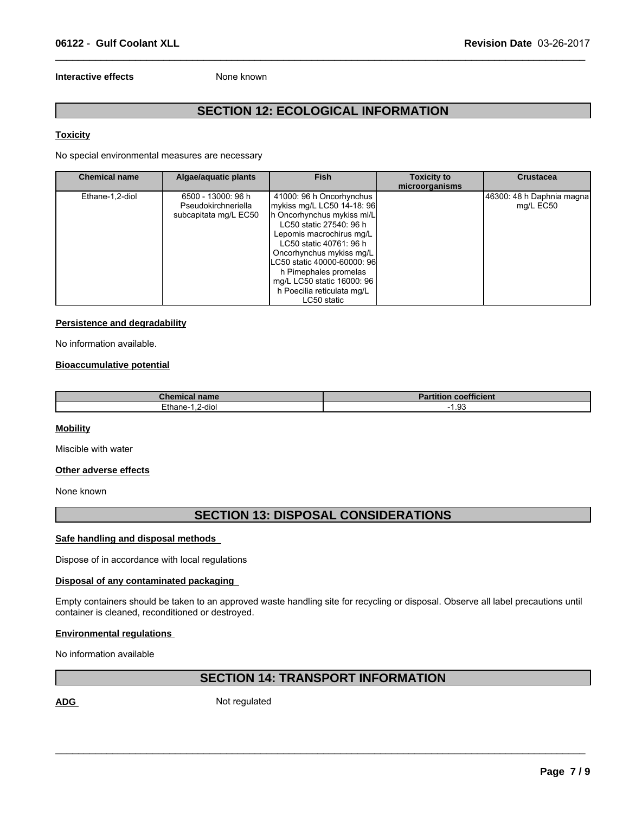### **Interactive effects** None known

# **SECTION 12: ECOLOGICAL INFORMATION**

 $\_$  ,  $\_$  ,  $\_$  ,  $\_$  ,  $\_$  ,  $\_$  ,  $\_$  ,  $\_$  ,  $\_$  ,  $\_$  ,  $\_$  ,  $\_$  ,  $\_$  ,  $\_$  ,  $\_$  ,  $\_$  ,  $\_$  ,  $\_$  ,  $\_$  ,  $\_$  ,  $\_$  ,  $\_$  ,  $\_$  ,  $\_$  ,  $\_$  ,  $\_$  ,  $\_$  ,  $\_$  ,  $\_$  ,  $\_$  ,  $\_$  ,  $\_$  ,  $\_$  ,  $\_$  ,  $\_$  ,  $\_$  ,  $\_$  ,

### **Toxicity**

No special environmental measures are necessary

| <b>Chemical name</b> | Algae/aquatic plants                                               | <b>Fish</b>                                                                                                                                                                                                                                                                                                                           | <b>Toxicity to</b><br>microorganisms | <b>Crustacea</b>                       |
|----------------------|--------------------------------------------------------------------|---------------------------------------------------------------------------------------------------------------------------------------------------------------------------------------------------------------------------------------------------------------------------------------------------------------------------------------|--------------------------------------|----------------------------------------|
| Ethane-1,2-diol      | 6500 - 13000: 96 h<br>Pseudokirchneriella<br>subcapitata mg/L EC50 | 41000: 96 h Oncorhynchus<br>mykiss mg/L LC50 14-18: 96<br>h Oncorhynchus mykiss ml/L<br>LC50 static 27540: 96 h<br>Lepomis macrochirus mg/L<br>LC50 static 40761: 96 h<br>Oncorhynchus mykiss mg/L<br>LC50 static 40000-60000: 96<br>h Pimephales promelas<br>mg/L LC50 static 16000: 96<br>h Poecilia reticulata mg/L<br>LC50 static |                                      | 46300: 48 h Daphnia magna<br>mg/L EC50 |

### **Persistence and degradability**

No information available.

### **Bioaccumulative potential**

| <b>Chemical name</b>   | <b>Partition coefficient</b> |
|------------------------|------------------------------|
| Ethane-<br>2-diol<br>. | $\sim$<br>$\cdot$ . JJ       |

### **Mobility**

Miscible with water

### **Other adverse effects**

None known

### **SECTION 13: DISPOSAL CONSIDERATIONS**

### **Safe handling and disposal methods**

Dispose of in accordance with local regulations

### **Disposal of any contaminated packaging**

Empty containers should be taken to an approved waste handling site for recycling or disposal. Observe all label precautions until container is cleaned, reconditioned or destroyed.

### **Environmental regulations**

No information available

# **SECTION 14: TRANSPORT INFORMATION**

 $\mathcal{L}_\mathcal{L} = \{ \mathcal{L}_\mathcal{L} = \{ \mathcal{L}_\mathcal{L} = \{ \mathcal{L}_\mathcal{L} = \{ \mathcal{L}_\mathcal{L} = \{ \mathcal{L}_\mathcal{L} = \{ \mathcal{L}_\mathcal{L} = \{ \mathcal{L}_\mathcal{L} = \{ \mathcal{L}_\mathcal{L} = \{ \mathcal{L}_\mathcal{L} = \{ \mathcal{L}_\mathcal{L} = \{ \mathcal{L}_\mathcal{L} = \{ \mathcal{L}_\mathcal{L} = \{ \mathcal{L}_\mathcal{L} = \{ \mathcal{L}_\mathcal{$ 

ADG Not regulated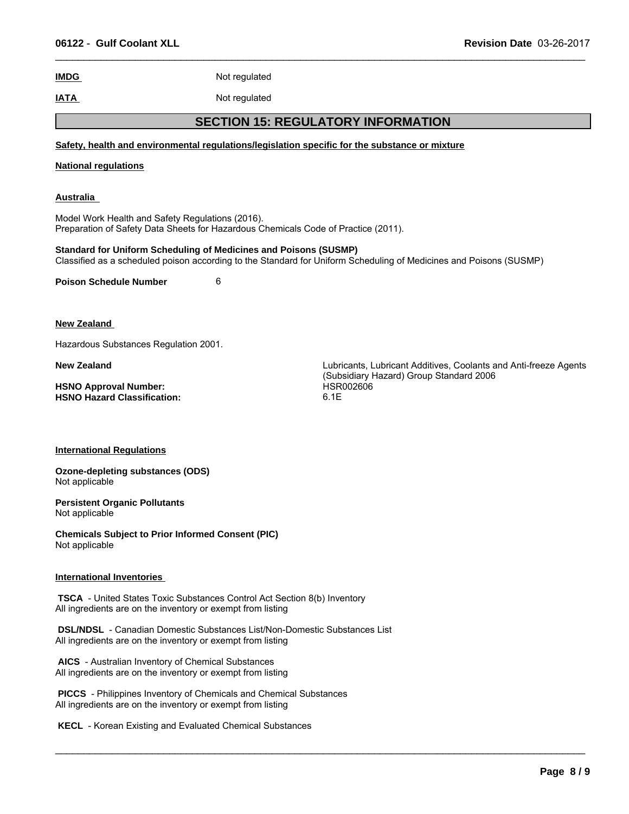| <b>IMDG</b>                                                                                                                            | Not regulated |                                                                                                                    |  |  |
|----------------------------------------------------------------------------------------------------------------------------------------|---------------|--------------------------------------------------------------------------------------------------------------------|--|--|
| <b>IATA</b>                                                                                                                            | Not regulated |                                                                                                                    |  |  |
|                                                                                                                                        |               | <b>SECTION 15: REGULATORY INFORMATION</b>                                                                          |  |  |
|                                                                                                                                        |               | Safety, health and environmental regulations/legislation specific for the substance or mixture                     |  |  |
| <b>National regulations</b>                                                                                                            |               |                                                                                                                    |  |  |
| Australia                                                                                                                              |               |                                                                                                                    |  |  |
| Model Work Health and Safety Regulations (2016).<br>Preparation of Safety Data Sheets for Hazardous Chemicals Code of Practice (2011). |               |                                                                                                                    |  |  |
| <b>Standard for Uniform Scheduling of Medicines and Poisons (SUSMP)</b>                                                                |               | Classified as a scheduled poison according to the Standard for Uniform Scheduling of Medicines and Poisons (SUSMP) |  |  |
| <b>Poison Schedule Number</b>                                                                                                          | 6             |                                                                                                                    |  |  |
| <b>New Zealand</b>                                                                                                                     |               |                                                                                                                    |  |  |
| Hazardous Substances Regulation 2001.                                                                                                  |               |                                                                                                                    |  |  |
| <b>New Zealand</b>                                                                                                                     |               | Lubricants, Lubricant Additives, Coolants and Anti-freeze Agents<br>(Subsidiary Hazard) Group Standard 2006        |  |  |
| <b>HSNO Approval Number:</b><br><b>HSNO Hazard Classification:</b>                                                                     |               | HSR002606<br>6.1E                                                                                                  |  |  |
| <b>International Regulations</b>                                                                                                       |               |                                                                                                                    |  |  |
| <b>Ozone-depleting substances (ODS)</b><br>Not applicable                                                                              |               |                                                                                                                    |  |  |
| <b>Persistent Organic Pollutants</b><br>Not applicable                                                                                 |               |                                                                                                                    |  |  |

**Chemicals Subject to Prior Informed Consent (PIC)** Not applicable

### **International Inventories**

 **TSCA** - United States Toxic Substances Control Act Section 8(b) Inventory All ingredients are on the inventory or exempt from listing

 **DSL/NDSL** - Canadian Domestic Substances List/Non-Domestic Substances List All ingredients are on the inventory or exempt from listing

 $\_$  ,  $\_$  ,  $\_$  ,  $\_$  ,  $\_$  ,  $\_$  ,  $\_$  ,  $\_$  ,  $\_$  ,  $\_$  ,  $\_$  ,  $\_$  ,  $\_$  ,  $\_$  ,  $\_$  ,  $\_$  ,  $\_$  ,  $\_$  ,  $\_$  ,  $\_$  ,  $\_$  ,  $\_$  ,  $\_$  ,  $\_$  ,  $\_$  ,  $\_$  ,  $\_$  ,  $\_$  ,  $\_$  ,  $\_$  ,  $\_$  ,  $\_$  ,  $\_$  ,  $\_$  ,  $\_$  ,  $\_$  ,  $\_$  ,

 **AICS** - Australian Inventory of Chemical Substances All ingredients are on the inventory or exempt from listing

 **PICCS** - Philippines Inventory of Chemicals and Chemical Substances All ingredients are on the inventory or exempt from listing

 **KECL** - Korean Existing and Evaluated Chemical Substances